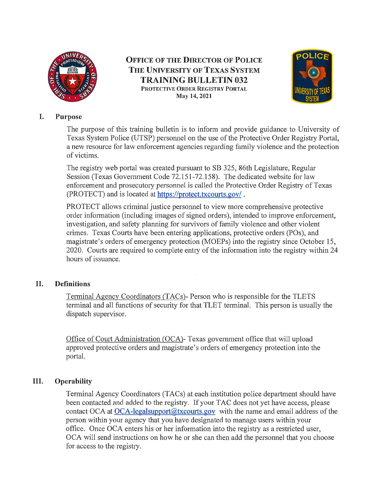

**OFFICE OF THE DIRECTOR OF POLICE THE UNIVERSITY OF TEXAS SYSTEM TRAINING BULLETIN 032 PR0TECTlVE ORDER REGISTRY PORTAL May 14, 2021** 



### I. **Purpose**

The purpose of this training bulletin is to inform and provide guidance to University of Texas System Police (UTSP) personnel on the use of the Protective Order Registry Portal, a new resource for law enforcement agencies regarding family violence and the protection of victims.

The registry web portal was created pursuant to SB 325, 86th Legislature, Regular Session (Texas Government Code 72.151-72.158). The dedicated website for law enforcement and prosecutory personnel is called the Protective Order Registry of Texas (PROTECT) and is located at https://protect.txcourts.gov/ .

PROTECT allows criminal justice personnel to view more comprehensive protective order information (including images of signed orders), intended to improve enforcement, investigation, and safety planning for survivors of family violence and other violent crimes. Texas Courts have been entering applications, protective orders (POs), and magistrate's orders of emergency protection (MOEPs) into the registry since October 15, 2020. Courts are required to complete entry of the information into the registry within 24 hours of issuance.

# II. **Definitions**

Terminal Agency Coordinators (TACs)- Person who is responsible for the TLETS terminal and all functions of security for that TLET terminal. This person is usually the dispatch supervisor.

Office of Court Administration (OCA)- Texas government office that will upload approved protective orders and magistrate's orders of emergency protection into the portal.

# III. **Operability**

Terminal Agency Coordinators (TACs) at each institution police department should have been contacted and added to the registry. If your TAC does not yet have access, please contact OCA at  $OCA$ -legalsupport $@$ txcourts.gov with the name and email address of the person within your agency that you have designated to manage users within your office. Once OCA enters his or her information into the registry as a restricted user, OCA will send instructions on how he or she can then add the personnel that you choose for access to the registry.